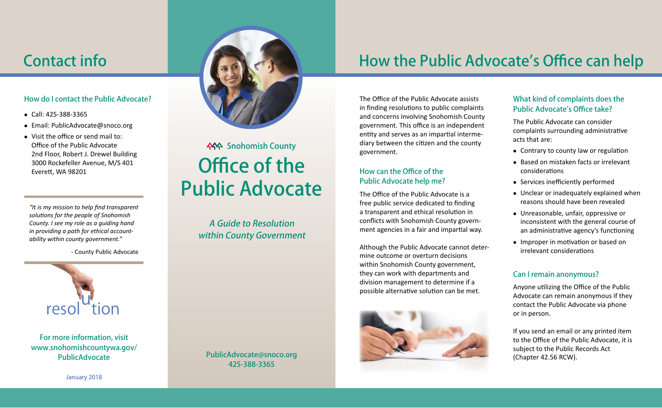### How do I contact the Public Advocate?

- $\bullet$  Call: 425-388-3365
- Email: PublicAdvocate@snoco.org
- $\bullet$  Visit the office or send mail to: Office of the Public Advocate 2nd Floor, Robert J. Drewel Building 3000 Rockefeller Avenue, M/S 401 Everett, WA 98201

*"It is my mission to help find transparent solutions for the people of Snohomish County. I see my role as a guiding hand in providing a path for ethical accountability within county government."*

- County Public Advocate



For more information, visit www.snohomishcountywa.gov/ PublicAdvocate



# Office of the Public Advocate **ASA** Snohomish County

A Guide to Resolution within County Government

PublicAdvocate@snoco.org 425-388-3365

## Contact info **How the Public Advocate's Office can help**

The Office of the Public Advocate assists in finding resolutions to public complaints and concerns involving Snohomish County government. This office is an independent entity and serves as an impartial intermediary between the citizen and the county government.

### How can the Office of the Public Advocate help me?

The Office of the Public Advocate is a free public service dedicated to finding a transparent and ethical resolution in conflicts with Snohomish County government agencies in a fair and impartial way.

Although the Public Advocate cannot determine outcome or overturn decisions within Snohomish County government, they can work with departments and division management to determine if a possible alternative solution can be met.



### What kind of complaints does the Public Advocate's Office take?

The Public Advocate can consider complaints surrounding administrative acts that are:

- Contrary to county law or regulation
- Based on mistaken facts or irrelevant considerations
- Services inefficiently performed
- $\bullet$  Unclear or inadequately explained when reasons should have been revealed
- Unreasonable, unfair, oppressive or inconsistent with the general course of an administrative agency's functioning
- Improper in motivation or based on irrelevant considerations

### Can I remain anonymous?

Anyone utilizing the Office of the Public Advocate can remain anonymous if they contact the Public Advocate via phone or in person.

If you send an email or any printed item to the Office of the Public Advocate, it is subject to the Public Records Act (Chapter 42.56 RCW).

January 2018